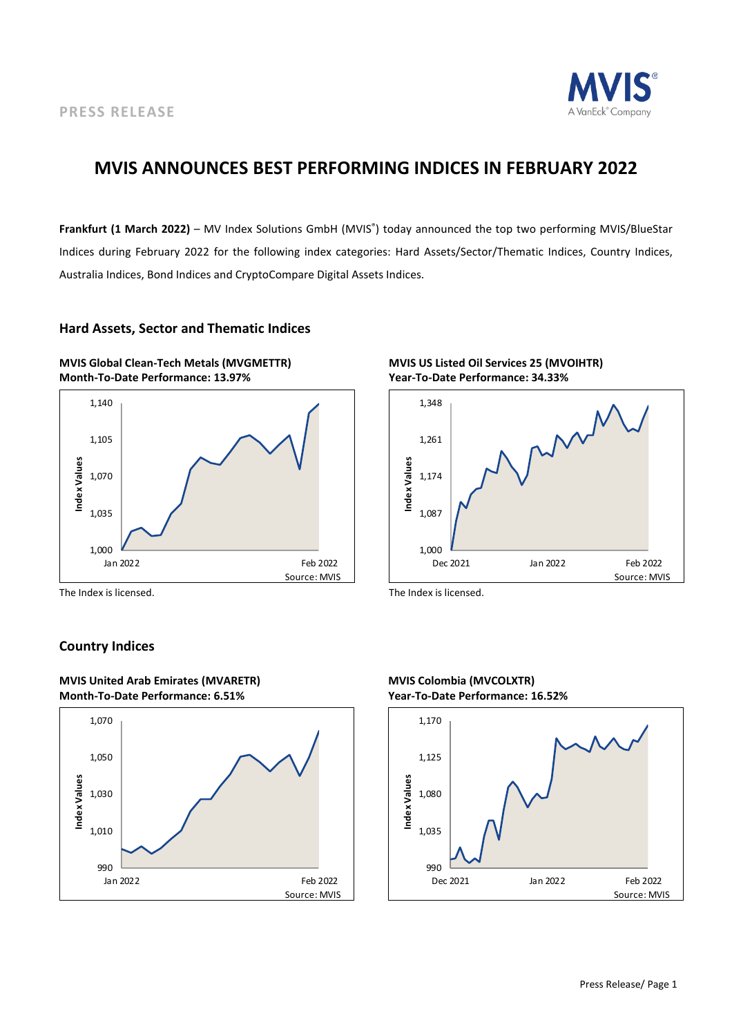

### **MVIS ANNOUNCES BEST PERFORMING INDICES IN FEBRUARY 2022**

**Frankfurt (1 March 2022)** – MV Index Solutions GmbH (MVIS® ) today announced the top two performing MVIS/BlueStar Indices during February 2022 for the following index categories: Hard Assets/Sector/Thematic Indices, Country Indices, Australia Indices, Bond Indices and CryptoCompare Digital Assets Indices.

#### **Hard Assets, Sector and Thematic Indices**





The Index is licensed. The Index is licensed.

### **Country Indices**







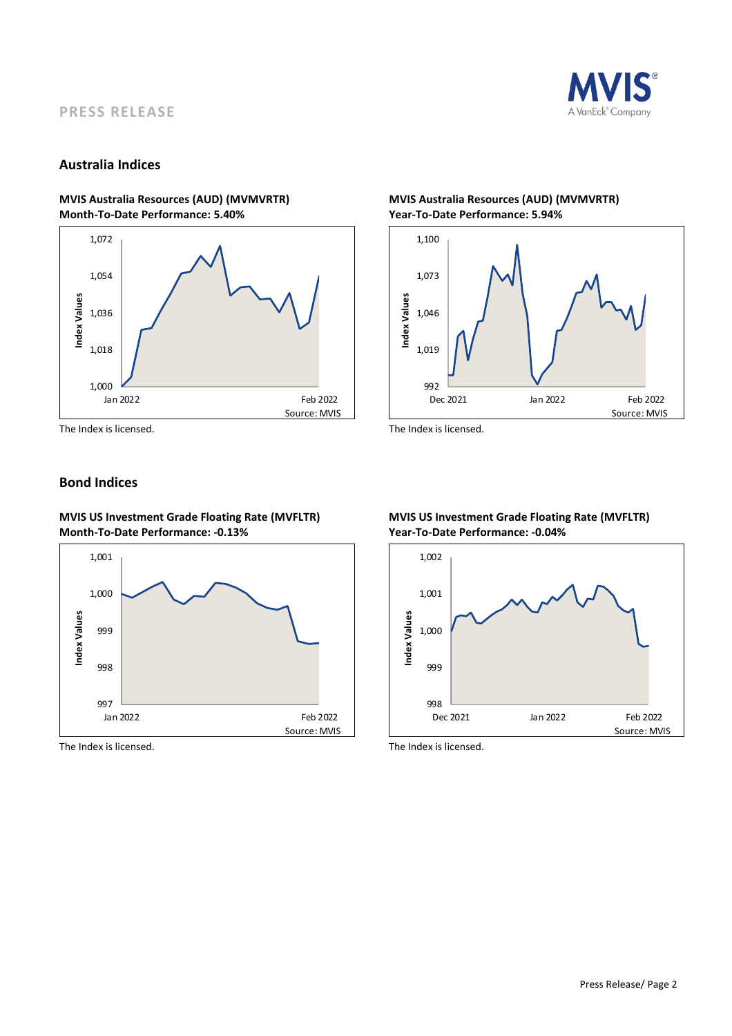

### **PRESS RELEASE**

#### **Australia Indices**

## **Month-To-Date Performance: 5.40% Year-To-Date Performance: 5.94%**



# **MVIS Australia Resources (AUD) (MVMVRTR) MVIS Australia Resources (AUD) (MVMVRTR)**



The Index is licensed. The Index is licensed.

### **Bond Indices**

**MVIS US Investment Grade Floating Rate (MVFLTR) MVIS US Investment Grade Floating Rate (MVFLTR) Month-To-Date Performance: -0.13% Year-To-Date Performance: -0.04%**



The Index is licensed. The Index is licensed.